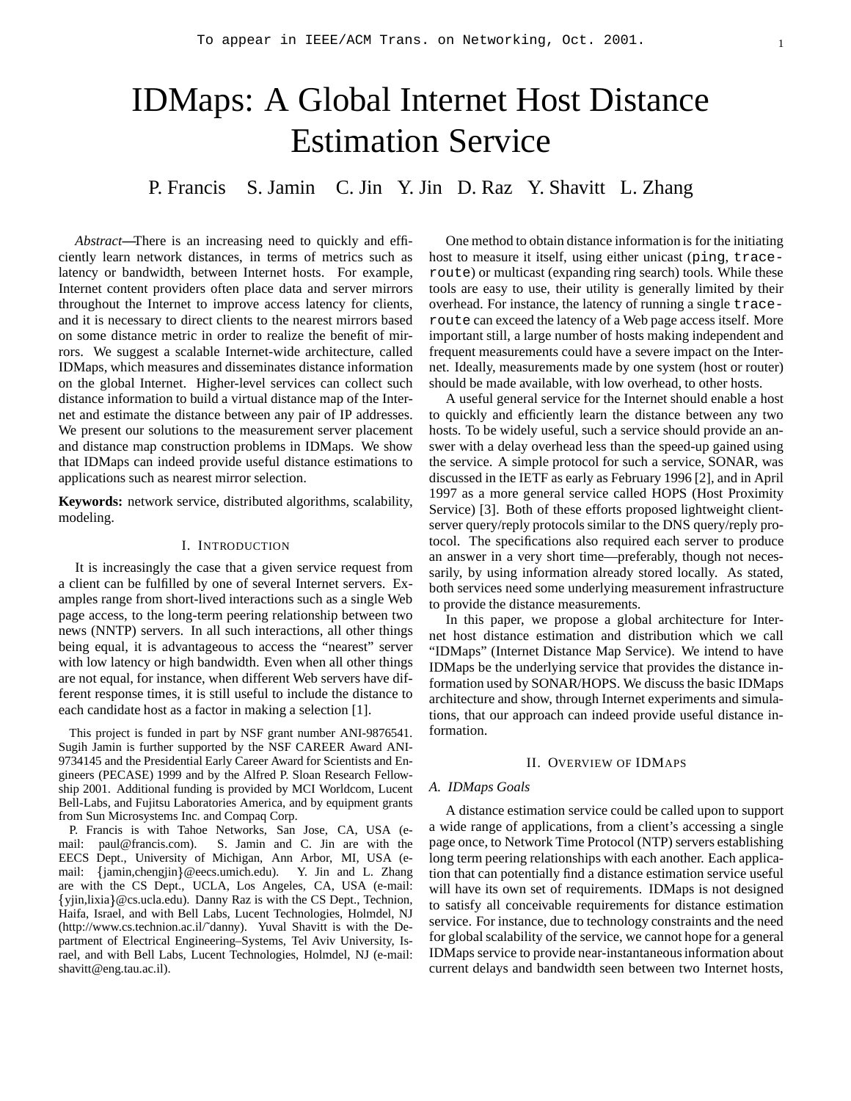# IDMaps: A Global Internet Host Distance Estimation Service

P. Francis S. Jamin C. Jin Y. Jin D. Raz Y. Shavitt L. Zhang

*Abstract***—**There is an increasing need to quickly and efficiently learn network distances, in terms of metrics such as latency or bandwidth, between Internet hosts. For example, Internet content providers often place data and server mirrors throughout the Internet to improve access latency for clients, and it is necessary to direct clients to the nearest mirrors based on some distance metric in order to realize the benefit of mirrors. We suggest a scalable Internet-wide architecture, called IDMaps, which measures and disseminates distance information on the global Internet. Higher-level services can collect such distance information to build a virtual distance map of the Internet and estimate the distance between any pair of IP addresses. We present our solutions to the measurement server placement and distance map construction problems in IDMaps. We show that IDMaps can indeed provide useful distance estimations to applications such as nearest mirror selection.

**Keywords:** network service, distributed algorithms, scalability, modeling.

#### I. INTRODUCTION

It is increasingly the case that a given service request from a client can be fulfilled by one of several Internet servers. Examples range from short-lived interactions such as a single Web page access, to the long-term peering relationship between two news (NNTP) servers. In all such interactions, all other things being equal, it is advantageous to access the "nearest" server with low latency or high bandwidth. Even when all other things are not equal, for instance, when different Web servers have different response times, it is still useful to include the distance to each candidate host as a factor in making a selection [1].

This project is funded in part by NSF grant number ANI-9876541. Sugih Jamin is further supported by the NSF CAREER Award ANI-9734145 and the Presidential Early Career Award for Scientists and Engineers (PECASE) 1999 and by the Alfred P. Sloan Research Fellowship 2001. Additional funding is provided by MCI Worldcom, Lucent Bell-Labs, and Fujitsu Laboratories America, and by equipment grants from Sun Microsystems Inc. and Compaq Corp.

P. Francis is with Tahoe Networks, San Jose, CA, USA (email: paul@francis.com). S. Jamin and C. Jin are with the EECS Dept., University of Michigan, Ann Arbor, MI, USA (email: {jamin,chengjin}@eecs.umich.edu). Y. Jin and L. Zhang are with the CS Dept., UCLA, Los Angeles, CA, USA (e-mail: yjin,lixia @cs.ucla.edu). Danny Raz is with the CS Dept., Technion, Haifa, Israel, and with Bell Labs, Lucent Technologies, Holmdel, NJ (http://www.cs.technion.ac.il/˜danny). Yuval Shavitt is with the Department of Electrical Engineering–Systems, Tel Aviv University, Israel, and with Bell Labs, Lucent Technologies, Holmdel, NJ (e-mail: shavitt@eng.tau.ac.il).

One method to obtain distance information is for the initiating host to measure it itself, using either unicast (ping, traceroute) or multicast (expanding ring search) tools. While these tools are easy to use, their utility is generally limited by their overhead. For instance, the latency of running a single traceroute can exceed the latency of a Web page access itself. More important still, a large number of hosts making independent and frequent measurements could have a severe impact on the Internet. Ideally, measurements made by one system (host or router) should be made available, with low overhead, to other hosts.

A useful general service for the Internet should enable a host to quickly and efficiently learn the distance between any two hosts. To be widely useful, such a service should provide an answer with a delay overhead less than the speed-up gained using the service. A simple protocol for such a service, SONAR, was discussed in the IETF as early as February 1996 [2], and in April 1997 as a more general service called HOPS (Host Proximity Service) [3]. Both of these efforts proposed lightweight clientserver query/reply protocols similar to the DNS query/reply protocol. The specifications also required each server to produce an answer in a very short time—preferably, though not necessarily, by using information already stored locally. As stated, both services need some underlying measurement infrastructure to provide the distance measurements.

In this paper, we propose a global architecture for Internet host distance estimation and distribution which we call "IDMaps" (Internet Distance Map Service). We intend to have IDMaps be the underlying service that provides the distance information used by SONAR/HOPS. We discuss the basic IDMaps architecture and show, through Internet experiments and simulations, that our approach can indeed provide useful distance information.

#### II. OVERVIEW OF IDMAPS

#### *A. IDMaps Goals*

A distance estimation service could be called upon to support a wide range of applications, from a client's accessing a single page once, to Network Time Protocol (NTP) servers establishing long term peering relationships with each another. Each application that can potentially find a distance estimation service useful will have its own set of requirements. IDMaps is not designed to satisfy all conceivable requirements for distance estimation service. For instance, due to technology constraints and the need for global scalability of the service, we cannot hope for a general IDMaps service to provide near-instantaneousinformation about current delays and bandwidth seen between two Internet hosts,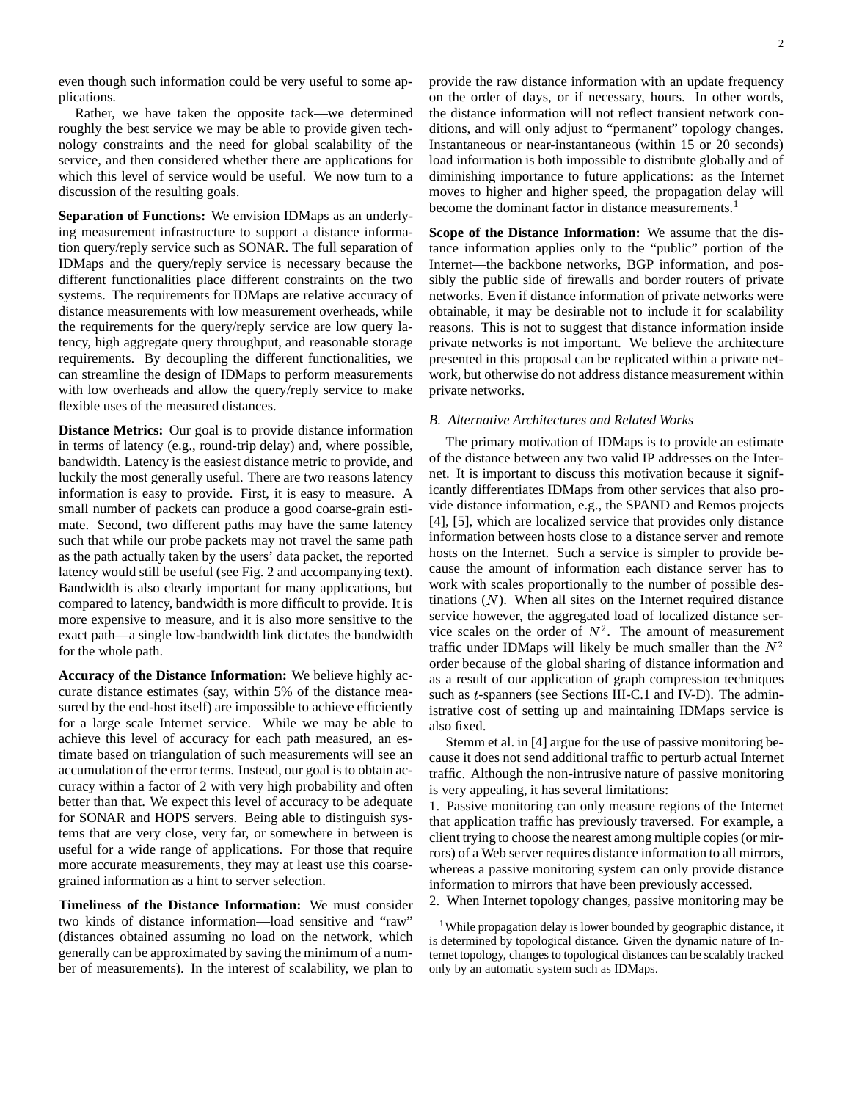even though such information could be very useful to some applications.

Rather, we have taken the opposite tack—we determined roughly the best service we may be able to provide given technology constraints and the need for global scalability of the service, and then considered whether there are applications for which this level of service would be useful. We now turn to a discussion of the resulting goals.

**Separation of Functions:** We envision IDMaps as an underlying measurement infrastructure to support a distance information query/reply service such as SONAR. The full separation of IDMaps and the query/reply service is necessary because the different functionalities place different constraints on the two systems. The requirements for IDMaps are relative accuracy of distance measurements with low measurement overheads, while the requirements for the query/reply service are low query latency, high aggregate query throughput, and reasonable storage requirements. By decoupling the different functionalities, we can streamline the design of IDMaps to perform measurements with low overheads and allow the query/reply service to make flexible uses of the measured distances.

**Distance Metrics:** Our goal is to provide distance information in terms of latency (e.g., round-trip delay) and, where possible, bandwidth. Latency is the easiest distance metric to provide, and luckily the most generally useful. There are two reasons latency information is easy to provide. First, it is easy to measure. A small number of packets can produce a good coarse-grain estimate. Second, two different paths may have the same latency such that while our probe packets may not travel the same path as the path actually taken by the users' data packet, the reported latency would still be useful (see Fig. 2 and accompanying text). Bandwidth is also clearly important for many applications, but compared to latency, bandwidth is more difficult to provide. It is more expensive to measure, and it is also more sensitive to the exact path—a single low-bandwidth link dictates the bandwidth for the whole path.

**Accuracy of the Distance Information:** We believe highly accurate distance estimates (say, within 5% of the distance measured by the end-host itself) are impossible to achieve efficiently for a large scale Internet service. While we may be able to achieve this level of accuracy for each path measured, an estimate based on triangulation of such measurements will see an accumulation of the error terms. Instead, our goal is to obtain accuracy within a factor of 2 with very high probability and often better than that. We expect this level of accuracy to be adequate for SONAR and HOPS servers. Being able to distinguish systems that are very close, very far, or somewhere in between is useful for a wide range of applications. For those that require more accurate measurements, they may at least use this coarsegrained information as a hint to server selection.

**Timeliness of the Distance Information:** We must consider two kinds of distance information—load sensitive and "raw" (distances obtained assuming no load on the network, which generally can be approximated by saving the minimum of a number of measurements). In the interest of scalability, we plan to provide the raw distance information with an update frequency on the order of days, or if necessary, hours. In other words, the distance information will not reflect transient network conditions, and will only adjust to "permanent" topology changes. Instantaneous or near-instantaneous (within 15 or 20 seconds) load information is both impossible to distribute globally and of diminishing importance to future applications: as the Internet moves to higher and higher speed, the propagation delay will become the dominant factor in distance measurements.<sup>1</sup>

**Scope of the Distance Information:** We assume that the distance information applies only to the "public" portion of the Internet—the backbone networks, BGP information, and possibly the public side of firewalls and border routers of private networks. Even if distance information of private networks were obtainable, it may be desirable not to include it for scalability reasons. This is not to suggest that distance information inside private networks is not important. We believe the architecture presented in this proposal can be replicated within a private network, but otherwise do not address distance measurement within private networks.

# *B. Alternative Architectures and Related Works*

The primary motivation of IDMaps is to provide an estimate of the distance between any two valid IP addresses on the Internet. It is important to discuss this motivation because it significantly differentiates IDMaps from other services that also provide distance information, e.g., the SPAND and Remos projects [4], [5], which are localized service that provides only distance information between hosts close to a distance server and remote hosts on the Internet. Such a service is simpler to provide because the amount of information each distance server has to work with scales proportionally to the number of possible destinations  $(N)$ . When all sites on the Internet required distance service however, the aggregated load of localized distance service scales on the order of  $N^2$ . The amount of measurement traffic under IDMaps will likely be much smaller than the  $N^2$ order because of the global sharing of distance information and as a result of our application of graph compression techniques such as  $t$ -spanners (see Sections III-C.1 and IV-D). The administrative cost of setting up and maintaining IDMaps service is also fixed.

Stemm et al. in [4] argue for the use of passive monitoring because it does not send additional traffic to perturb actual Internet traffic. Although the non-intrusive nature of passive monitoring is very appealing, it has several limitations:

1. Passive monitoring can only measure regions of the Internet that application traffic has previously traversed. For example, a client trying to choose the nearest among multiple copies(or mirrors) of a Web server requires distance information to all mirrors, whereas a passive monitoring system can only provide distance information to mirrors that have been previously accessed.

2. When Internet topology changes, passive monitoring may be

<sup>1</sup>While propagation delay is lower bounded by geographic distance, it is determined by topological distance. Given the dynamic nature of Internet topology, changes to topological distances can be scalably tracked only by an automatic system such as IDMaps.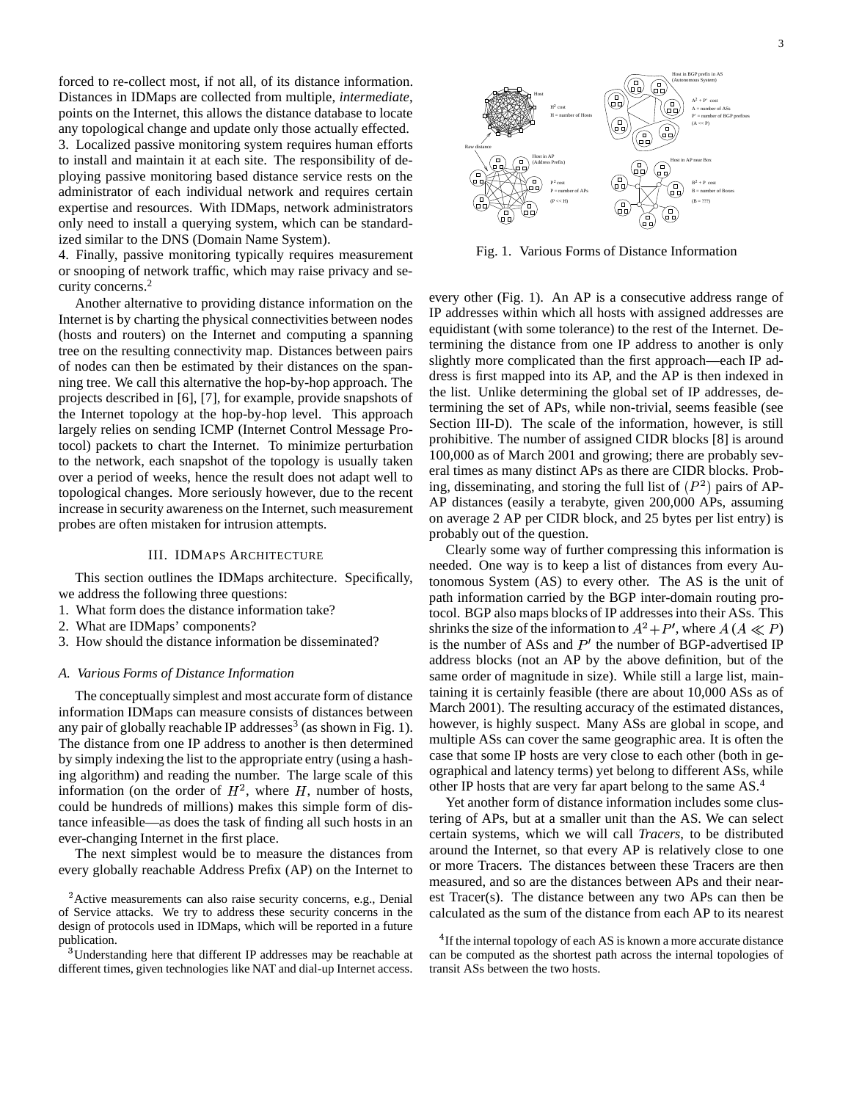forced to re-collect most, if not all, of its distance information. Distances in IDMaps are collected from multiple, *intermediate*, points on the Internet, this allows the distance database to locate any topological change and update only those actually effected. 3. Localized passive monitoring system requires human efforts to install and maintain it at each site. The responsibility of deploying passive monitoring based distance service rests on the administrator of each individual network and requires certain expertise and resources. With IDMaps, network administrators only need to install a querying system, which can be standardized similar to the DNS (Domain Name System).

4. Finally, passive monitoring typically requires measurement or snooping of network traffic, which may raise privacy and security concerns.<sup>2</sup>

Another alternative to providing distance information on the Internet is by charting the physical connectivities between nodes (hosts and routers) on the Internet and computing a spanning tree on the resulting connectivity map. Distances between pairs of nodes can then be estimated by their distances on the spanning tree. We call this alternative the hop-by-hop approach. The projects described in [6], [7], for example, provide snapshots of the Internet topology at the hop-by-hop level. This approach largely relies on sending ICMP (Internet Control Message Protocol) packets to chart the Internet. To minimize perturbation to the network, each snapshot of the topology is usually taken over a period of weeks, hence the result does not adapt well to topological changes. More seriously however, due to the recent increase in security awareness on the Internet, such measurement probes are often mistaken for intrusion attempts.

# III. IDMAPS ARCHITECTURE

This section outlines the IDMaps architecture. Specifically, we address the following three questions:

- 1. What form does the distance information take?
- 2. What are IDMaps' components?
- 3. How should the distance information be disseminated?

#### *A. Various Forms of Distance Information*

The conceptually simplest and most accurate form of distance information IDMaps can measure consists of distances between any pair of globally reachable IP addresses<sup>3</sup> (as shown in Fig. 1). The distance from one IP address to another is then determined by simply indexing the list to the appropriate entry (using a hashing algorithm) and reading the number. The large scale of this information (on the order of  $H^2$ , where H, number of hosts, could be hundreds of millions) makes this simple form of distance infeasible—as does the task of finding all such hosts in an ever-changing Internet in the first place.

The next simplest would be to measure the distances from every globally reachable Address Prefix (AP) on the Internet to

<sup>3</sup>Understanding here that different IP addresses may be reachable at different times, given technologies like NAT and dial-up Internet access.



Fig. 1. Various Forms of Distance Information

every other (Fig. 1). An AP is a consecutive address range of IP addresses within which all hosts with assigned addresses are equidistant (with some tolerance) to the rest of the Internet. Determining the distance from one IP address to another is only slightly more complicated than the first approach—each IP address is first mapped into its AP, and the AP is then indexed in the list. Unlike determining the global set of IP addresses, determining the set of APs, while non-trivial, seems feasible (see Section III-D). The scale of the information, however, is still prohibitive. The number of assigned CIDR blocks [8] is around 100,000 as of March 2001 and growing; there are probably several times as many distinct APs as there are CIDR blocks. Probing, disseminating, and storing the full list of  $(P<sup>2</sup>)$  pairs of AP-AP distances (easily a terabyte, given 200,000 APs, assuming on average 2 AP per CIDR block, and 25 bytes per list entry) is probably out of the question.

Clearly some way of further compressing this information is needed. One way is to keep a list of distances from every Autonomous System (AS) to every other. The AS is the unit of path information carried by the BGP inter-domain routing protocol. BGP also maps blocks of IP addresses into their ASs. This shrinks the size of the information to  $A^2 + P'$ , where  $A(A \ll P)$ is the number of ASs and  $P'$  the number of BGP-advertised IP address blocks (not an AP by the above definition, but of the same order of magnitude in size). While still a large list, maintaining it is certainly feasible (there are about 10,000 ASs as of March 2001). The resulting accuracy of the estimated distances, however, is highly suspect. Many ASs are global in scope, and multiple ASs can cover the same geographic area. It is often the case that some IP hosts are very close to each other (both in geographical and latency terms) yet belong to different ASs, while other IP hosts that are very far apart belong to the same AS.<sup>4</sup>

Yet another form of distance information includes some clustering of APs, but at a smaller unit than the AS. We can select certain systems, which we will call *Tracers*, to be distributed around the Internet, so that every AP is relatively close to one or more Tracers. The distances between these Tracers are then measured, and so are the distances between APs and their nearest Tracer(s). The distance between any two APs can then be calculated as the sum of the distance from each AP to its nearest

<sup>&</sup>lt;sup>2</sup> Active measurements can also raise security concerns, e.g., Denial of Service attacks. We try to address these security concerns in the design of protocols used in IDMaps, which will be reported in a future publication.

 ${}^{4}$ If the internal topology of each AS is known a more accurate distance can be computed as the shortest path across the internal topologies of transit ASs between the two hosts.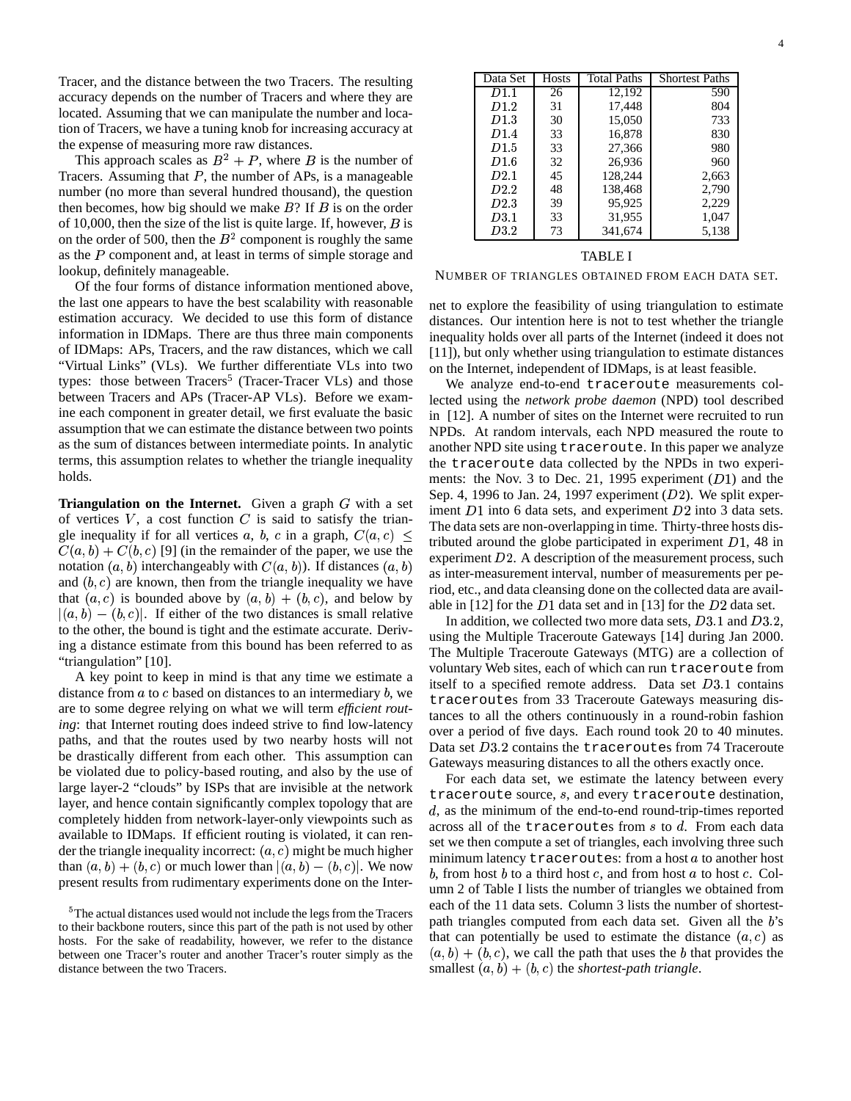Tracer, and the distance between the two Tracers. The resulting accuracy depends on the number of Tracers and where they are located. Assuming that we can manipulate the number and location of Tracers, we have a tuning knob for increasing accuracy at the expense of measuring more raw distances.

This approach scales as  $B^2 + P$ , where B is the number of Tracers. Assuming that  $P$ , the number of APs, is a manageable number (no more than several hundred thousand), the question then becomes, how big should we make  $B$ ? If  $B$  is on the order of 10,000, then the size of the list is quite large. If, however,  $B$  is on the order of 500, then the  $B<sup>2</sup>$  component is roughly the same as the  $P$  component and, at least in terms of simple storage and lookup, definitely manageable.

Of the four forms of distance information mentioned above, the last one appears to have the best scalability with reasonable estimation accuracy. We decided to use this form of distance information in IDMaps. There are thus three main components of IDMaps: APs, Tracers, and the raw distances, which we call "Virtual Links" (VLs). We further differentiate VLs into two types: those between Tracers<sup>5</sup> (Tracer-Tracer VLs) and those between Tracers and APs (Tracer-AP VLs). Before we examine each component in greater detail, we first evaluate the basic assumption that we can estimate the distance between two points as the sum of distances between intermediate points. In analytic terms, this assumption relates to whether the triangle inequality holds.

**Triangulation** on the **Internet.** Given a graph  $G$  with a set of vertices  $V$ , a cost function  $C$  is said to satisfy the triangle inequality if for all vertices a, b, c in a graph,  $C(a, c)$  $C(a, b) + C(b, c)$  [9] (in the remainder of the paper, we use the notation  $(a, b)$  interchangeably with  $C(a, b)$ ). If distances  $(a, b)$ and  $(b, c)$  are known, then from the triangle inequality we have that  $(a, c)$  is bounded above by  $(a, b) + (b, c)$ , and below by  $|(a, b) - (b, c)|$ . If either of the two distances is small relative to the other, the bound is tight and the estimate accurate. Deriving a distance estimate from this bound has been referred to as "triangulation" [10].

A key point to keep in mind is that any time we estimate a distance from  $a$  to  $c$  based on distances to an intermediary  $b$ , we are to some degree relying on what we will term *efficient routing*: that Internet routing does indeed strive to find low-latency paths, and that the routes used by two nearby hosts will not be drastically different from each other. This assumption can be violated due to policy-based routing, and also by the use of large layer-2 "clouds" by ISPs that are invisible at the network layer, and hence contain significantly complex topology that are completely hidden from network-layer-only viewpoints such as available to IDMaps. If efficient routing is violated, it can render the triangle inequality incorrect:  $(a, c)$  might be much higher than  $(a, b) + (b, c)$  or much lower than  $|(a, b) - (b, c)|$ . We now present results from rudimentary experiments done on the Inter-

| Data Set         | <b>Hosts</b> | <b>Total Paths</b> | <b>Shortest Paths</b> |
|------------------|--------------|--------------------|-----------------------|
| D1.1             | 26           | 12.192             | 590                   |
| D <sub>1.2</sub> | 31           | 17,448             | 804                   |
| D1.3             | 30           | 15,050             | 733                   |
| D1.4             | 33           | 16.878             | 830                   |
| D1.5             | 33           | 27,366             | 980                   |
| D1.6             | 32           | 26,936             | 960                   |
| D2.1             | 45           | 128,244            | 2,663                 |
| D2.2             | 48           | 138,468            | 2,790                 |
| D2.3             | 39           | 95,925             | 2,229                 |
| D3.1             | 33           | 31,955             | 1,047                 |
| D3.2             | 73           | 341,674            | 5,138                 |
|                  |              |                    |                       |

#### TABLE I

NUMBER OF TRIANGLES OBTAINED FROM EACH DATA SET.

net to explore the feasibility of using triangulation to estimate distances. Our intention here is not to test whether the triangle inequality holds over all parts of the Internet (indeed it does not [11]), but only whether using triangulation to estimate distances on the Internet, independent of IDMaps, is at least feasible.

 $\epsilon$   $\geq$  tributed around the globe participated in experiment D1, 48 in We analyze end-to-end traceroute measurements collected using the *network probe daemon* (NPD) tool described in [12]. A number of sites on the Internet were recruited to run NPDs. At random intervals, each NPD measured the route to another NPD site using traceroute. In this paper we analyze the traceroute data collected by the NPDs in two experiments: the Nov. 3 to Dec. 21, 1995 experiment  $(D1)$  and the Sep. 4, 1996 to Jan. 24, 1997 experiment  $(D2)$ . We split experiment  $D1$  into 6 data sets, and experiment  $D2$  into 3 data sets. The data sets are non-overlapping in time. Thirty-three hosts disexperiment  $D2$ . A description of the measurement process, such as inter-measurement interval, number of measurements per period, etc., and data cleansing done on the collected data are available in [12] for the  $D1$  data set and in [13] for the  $D2$  data set.

> In addition, we collected two more data sets,  $D3.1$  and  $D3.2$ , using the Multiple Traceroute Gateways [14] during Jan 2000. The Multiple Traceroute Gateways (MTG) are a collection of voluntary Web sites, each of which can run traceroute from itself to a specified remote address. Data set  $D3.1$  contains traceroutes from 33 Traceroute Gateways measuring distances to all the others continuously in a round-robin fashion over a period of five days. Each round took 20 to 40 minutes. Data set  $D3.2$  contains the traceroutes from 74 Traceroute Gateways measuring distances to all the others exactly once.

> For each data set, we estimate the latency between every traceroute source, <sup>6</sup>, and every traceroute destination, d, as the minimum of the end-to-end round-trip-times reported across all of the traceroutes from  $s$  to  $d$ . From each data set we then compute a set of triangles, each involving three such minimum latency traceroutes: from a host  $a$  to another host b, from host  $b$  to a third host  $c$ , and from host  $a$  to host  $c$ . Column 2 of Table I lists the number of triangles we obtained from each of the 11 data sets. Column 3 lists the number of shortestpath triangles computed from each data set. Given all the  $b$ 's that can potentially be used to estimate the distance  $(a, c)$  as  $(a, b) + (b, c)$ , we call the path that uses the *b* that provides the smallest  $(a, b) + (b, c)$  the *shortest-path triangle*.

 $5$ The actual distances used would not include the legs from the Tracers to their backbone routers, since this part of the path is not used by other hosts. For the sake of readability, however, we refer to the distance between one Tracer's router and another Tracer's router simply as the distance between the two Tracers.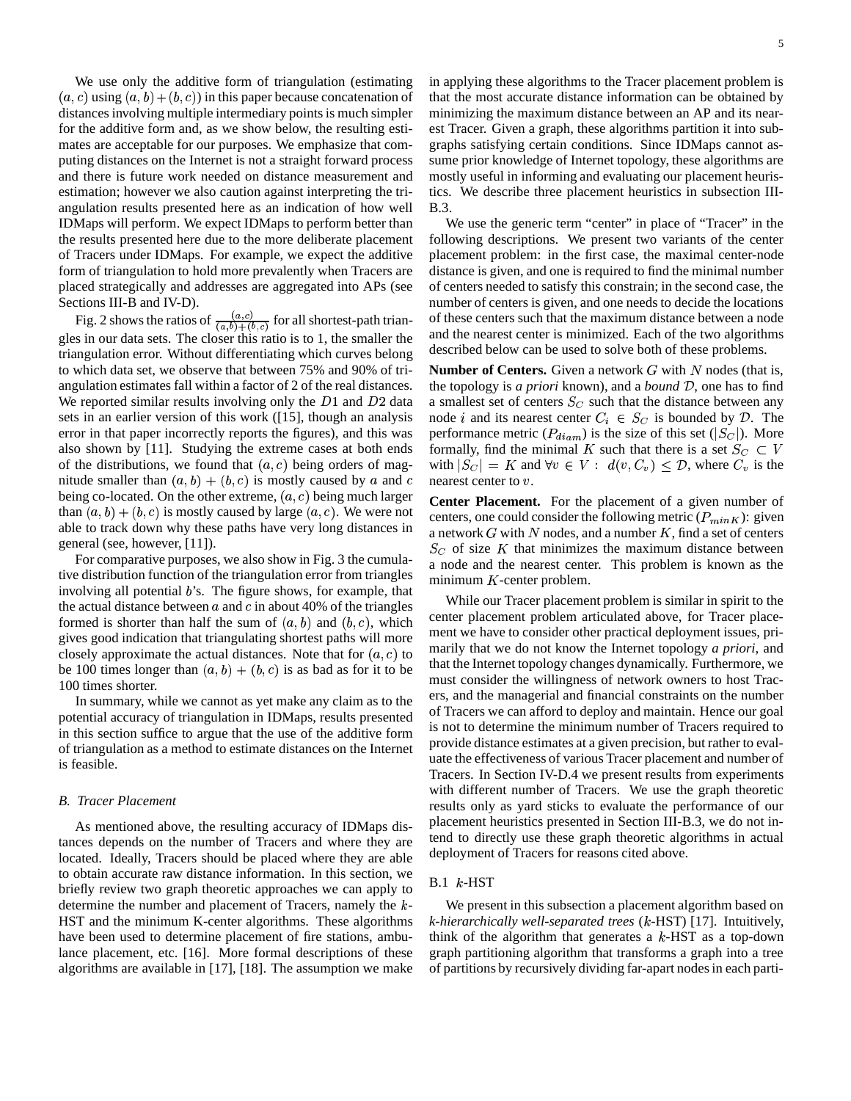We use only the additive form of triangulation (estimating  $(a, c)$  using  $(a, b) + (b, c)$  in this paper because concatenation of distances involving multiple intermediary points is much simpler for the additive form and, as we show below, the resulting estimates are acceptable for our purposes. We emphasize that computing distances on the Internet is not a straight forward process and there is future work needed on distance measurement and estimation; however we also caution against interpreting the triangulation results presented here as an indication of how well IDMaps will perform. We expect IDMaps to perform better than the results presented here due to the more deliberate placement of Tracers under IDMaps. For example, we expect the additive form of triangulation to hold more prevalently when Tracers are placed strategically and addresses are aggregated into APs (see Sections III-B and IV-D).

Fig. 2 shows the ratios of  $\frac{(a,c)}{(a,b)+(b,c)}$  fo - gles in our data sets. The closer this ratio is to 1, the smaller the  $\frac{(a,c)}{(a,b)+(b,c)}$  for all shortest-path triantriangulation error. Without differentiating which curves belong to which data set, we observe that between 75% and 90% of triangulation estimates fall within a factor of 2 of the real distances. We reported similar results involving only the  $D1$  and  $D2$  data sets in an earlier version of this work ([15], though an analysis error in that paper incorrectly reports the figures), and this was also shown by [11]. Studying the extreme cases at both ends of the distributions, we found that  $(a, c)$  being orders of magnitude smaller than  $(a, b) + (b, c)$  is mostly caused by a and c neares being co-located. On the other extreme,  $(a, c)$  being much larger than  $(a, b) + (b, c)$  is mostly caused by large  $(a, c)$ . We were not able to track down why these paths have very long distances in general (see, however, [11]).

 $\mathcal{L} = \{1, 2, \ldots, n\}$ 

For comparative purposes, we also show in Fig. 3 the cumulative distribution function of the triangulation error from triangles involving all potential  $b$ 's. The figure shows, for example, that the actual distance between  $a$  and  $c$  in about 40% of the triangles formed is shorter than half the sum of  $(a, b)$  and  $(b, c)$ , which gives good indication that triangulating shortest paths will more closely approximate the actual distances. Note that for  $(a, c)$  to be 100 times longer than  $(a, b) + (b, c)$  is as bad as for it to be 100 times shorter.

In summary, while we cannot as yet make any claim as to the potential accuracy of triangulation in IDMaps, results presented in this section suffice to argue that the use of the additive form of triangulation as a method to estimate distances on the Internet is feasible.

# *B. Tracer Placement*

As mentioned above, the resulting accuracy of IDMaps distances depends on the number of Tracers and where they are located. Ideally, Tracers should be placed where they are able to obtain accurate raw distance information. In this section, we briefly review two graph theoretic approaches we can apply to determine the number and placement of Tracers, namely the  $k$ -HST and the minimum K-center algorithms. These algorithms have been used to determine placement of fire stations, ambulance placement, etc. [16]. More formal descriptions of these algorithms are available in [17], [18]. The assumption we make in applying these algorithms to the Tracer placement problem is that the most accurate distance information can be obtained by minimizing the maximum distance between an AP and its nearest Tracer. Given a graph, these algorithms partition it into subgraphs satisfying certain conditions. Since IDMaps cannot assume prior knowledge of Internet topology, these algorithms are mostly useful in informing and evaluating our placement heuristics. We describe three placement heuristics in subsection III-B.3.

We use the generic term "center" in place of "Tracer" in the following descriptions. We present two variants of the center placement problem: in the first case, the maximal center-node distance is given, and one is required to find the minimal number of centers needed to satisfy this constrain; in the second case, the number of centers is given, and one needs to decide the locations of these centers such that the maximum distance between a node and the nearest center is minimized. Each of the two algorithms described below can be used to solve both of these problems.

**Number of Centers.** Given a network  $G$  with  $N$  nodes (that is, the topology is *a priori* known), and a *bound*  $D$ , one has to find a smallest set of centers  $S_C$  such that the distance between any node *i* and its nearest center  $C_i \in S_C$  is bounded by  $D$ . The performance metric  $(P_{diam})$  is the size of this set  $(|S_C|)$ . More formally, find the minimal K such that there is a set  $S_C \subset V$ with  $|S_C| = K$  and  $\forall v \in V : d(v, C_v) \leq \mathcal{D}$ , where  $C_v$  is the nearest center to  $v$ .

**Center Placement.** For the placement of a given number of centers, one could consider the following metric  $(P_{minK})$ : given a network  $G$  with  $N$  nodes, and a number  $K$ , find a set of centers  $S_C$  of size K that minimizes the maximum distance between a node and the nearest center. This problem is known as the minimum  $K$ -center problem.

While our Tracer placement problem is similar in spirit to the center placement problem articulated above, for Tracer placement we have to consider other practical deployment issues, primarily that we do not know the Internet topology *a priori*, and that the Internet topology changes dynamically. Furthermore, we must consider the willingness of network owners to host Tracers, and the managerial and financial constraints on the number of Tracers we can afford to deploy and maintain. Hence our goal is not to determine the minimum number of Tracers required to provide distance estimates at a given precision, but rather to evaluate the effectiveness of various Tracer placement and number of Tracers. In Section IV-D.4 we present results from experiments with different number of Tracers. We use the graph theoretic results only as yard sticks to evaluate the performance of our placement heuristics presented in Section III-B.3, we do not intend to directly use these graph theoretic algorithms in actual deployment of Tracers for reasons cited above.

# $B.1$   $k$ -HST

We present in this subsection a placement algorithm based on *k-hierarchically well-separated trees* ( -HST) [17]. Intuitively, think of the algorithm that generates a  $k$ -HST as a top-down graph partitioning algorithm that transforms a graph into a tree of partitions by recursively dividing far-apart nodesin each parti-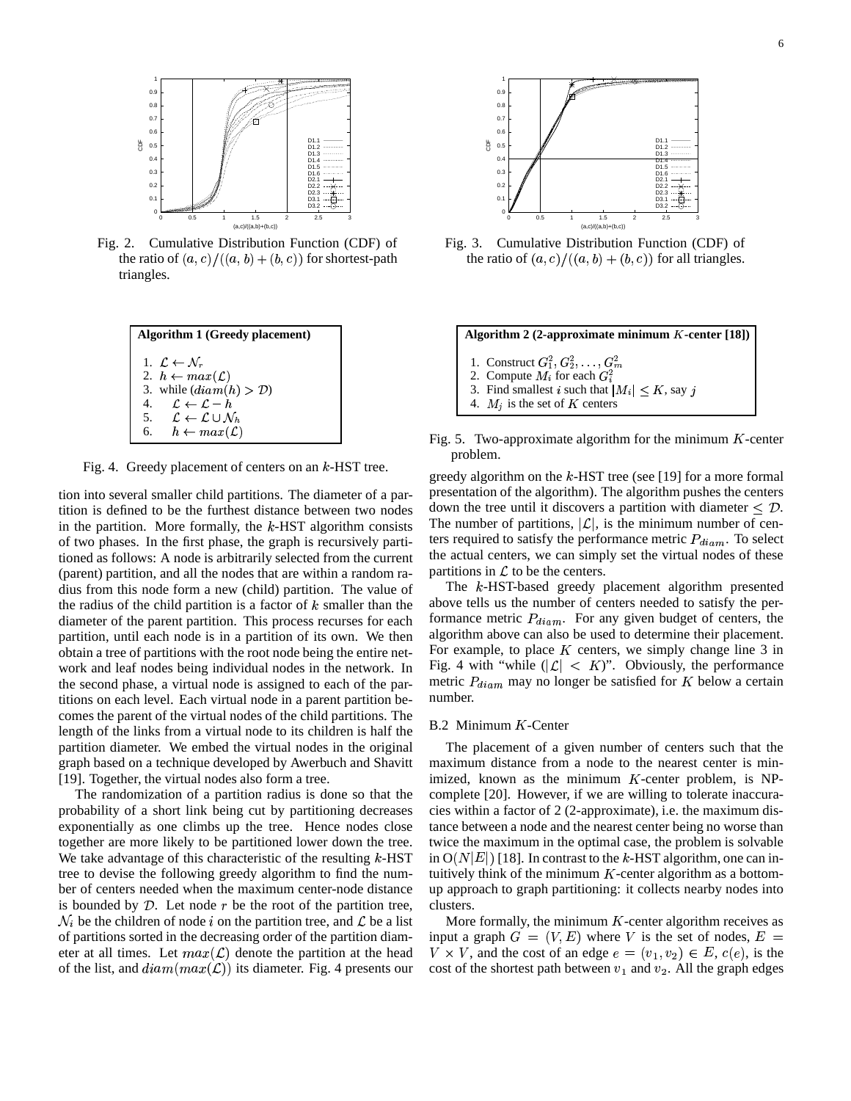

Fig. 2. Cumulative Distribution Function (CDF) of the ratio of  $(a, c)/((a, b) + (b, c))$  for shortest-path triangles.

| <b>Algorithm 1 (Greedy placement)</b>                      |  |  |  |  |
|------------------------------------------------------------|--|--|--|--|
| 1. $\mathcal{L} \leftarrow \mathcal{N}_r$                  |  |  |  |  |
| 2. $h \leftarrow max(\mathcal{L})$                         |  |  |  |  |
| 3. while $(diam(h) > D)$                                   |  |  |  |  |
| $\mathcal{L} \leftarrow \mathcal{L} - h$<br>4.             |  |  |  |  |
| 5. $\mathcal{L} \leftarrow \mathcal{L} \cup \mathcal{N}_h$ |  |  |  |  |
| 6. $h \leftarrow max(\mathcal{L})$                         |  |  |  |  |

Fig. 4. Greedy placement of centers on an  $k$ -HST tree.

tion into several smaller child partitions. The diameter of a partition is defined to be the furthest distance between two nodes in the partition. More formally, the  $k$ -HST algorithm consists of two phases. In the first phase, the graph is recursively partitioned as follows: A node is arbitrarily selected from the current (parent) partition, and all the nodes that are within a random radius from this node form a new (child) partition. The value of the radius of the child partition is a factor of  $k$  smaller than the diameter of the parent partition. This process recurses for each partition, until each node is in a partition of its own. We then obtain a tree of partitions with the root node being the entire network and leaf nodes being individual nodes in the network. In the second phase, a virtual node is assigned to each of the partitions on each level. Each virtual node in a parent partition becomes the parent of the virtual nodes of the child partitions. The length of the links from a virtual node to its children is half the partition diameter. We embed the virtual nodes in the original graph based on a technique developed by Awerbuch and Shavitt [19]. Together, the virtual nodes also form a tree.

The randomization of a partition radius is done so that the probability of a short link being cut by partitioning decreases exponentially as one climbs up the tree. Hence nodes close together are more likely to be partitioned lower down the tree. We take advantage of this characteristic of the resulting  $k$ -HST tree to devise the following greedy algorithm to find the number of centers needed when the maximum center-node distance  $\mathcal{N}_i$  be the children of node *i* on the partition tree, and  $\mathcal{L}$  be a list is bounded by  $D$ . Let node  $r$  be the root of the partition tree, of partitions sorted in the decreasing order of the partition diameter at all times. Let  $max(\mathcal{L})$  denote the partition at the head of the list, and  $diam(max(\mathcal{L}))$  its diameter. Fig. 4 presents our



Fig. 3. Cumulative Distribution Function (CDF) of the ratio of  $(a, c) / ((a, b) + (b, c))$  for all triangles.

 $\bf{Algorithm} 2 (2-approximate minimum  $K$ -center [18])$ 1. Construct  $G_1^2, G_2^2, \ldots, G_m^2$ **2** and  $\overline{a}$  **6**  $\overline{b}$  **6**  $\overline{a}$  **6**  $\overline{a}$  **6**  $\overline{a}$  **6**  $\overline{a}$  **6**  $\overline{a}$  **6**  $\overline{a}$  **6**  $\overline{a}$  **6**  $\overline{a}$  **6**  $\overline{a}$  **6**  $\overline{a}$  **6**  $\overline{a}$  **6**  $\overline{a}$  **6**  $\overline{a}$  **6**  $\overline{a}$  **6**  $\overline{a$ 2. Compute  $M_i$  for each  $G_i^2$  <sup>8</sup> 3. Find smallest *i* such that  $|M_i| \leq K$ , say *j* 4.  $M_i$  is the set of K centers

Fig. 5. Two-approximate algorithm for the minimum  $K$ -center problem.

greedy algorithm on the  $k$ -HST tree (see [19] for a more formal presentation of the algorithm). The algorithm pushes the centers down the tree until it discovers a partition with diameter  $\leq \mathcal{D}$ . The number of partitions,  $|\mathcal{L}|$ , is the minimum number of centers required to satisfy the performance metric  $P_{diam}$ . To select the actual centers, we can simply set the virtual nodes of these partitions in  $\mathcal L$  to be the centers.

The *k*-HST-based greedy placement algorithm presented above tells us the number of centers needed to satisfy the performance metric  $P_{diam}$ . For any given budget of centers, the algorithm above can also be used to determine their placement. For example, to place  $K$  centers, we simply change line 3 in Fig. 4 with "while  $(|\mathcal{L}| < K)$ ". Obviously, the performance metric  $P_{diam}$  may no longer be satisfied for K below a certain number.

#### $B.2$  Minimum  $K$ -Center

The placement of a given number of centers such that the maximum distance from a node to the nearest center is minimized, known as the minimum  $K$ -center problem, is NPcomplete [20]. However, if we are willing to tolerate inaccuracies within a factor of 2 (2-approximate), i.e. the maximum distance between a node and the nearest center being no worse than twice the maximum in the optimal case, the problem is solvable in  $O(N|E|)$  [18]. In contrast to the k-HST algorithm, one can intuitively think of the minimum  $K$ -center algorithm as a bottomup approach to graph partitioning: it collects nearby nodes into clusters.

More formally, the minimum  $K$ -center algorithm receives as input a graph  $G = (V, E)$  where V is the set of nodes,  $E =$  $V \times V$ , and the cost of an edge  $e = (v_1, v_2) \in E$ ,  $c(e)$ , is the cost of the shortest path between  $v_1$  and  $v_2$ . All the graph edges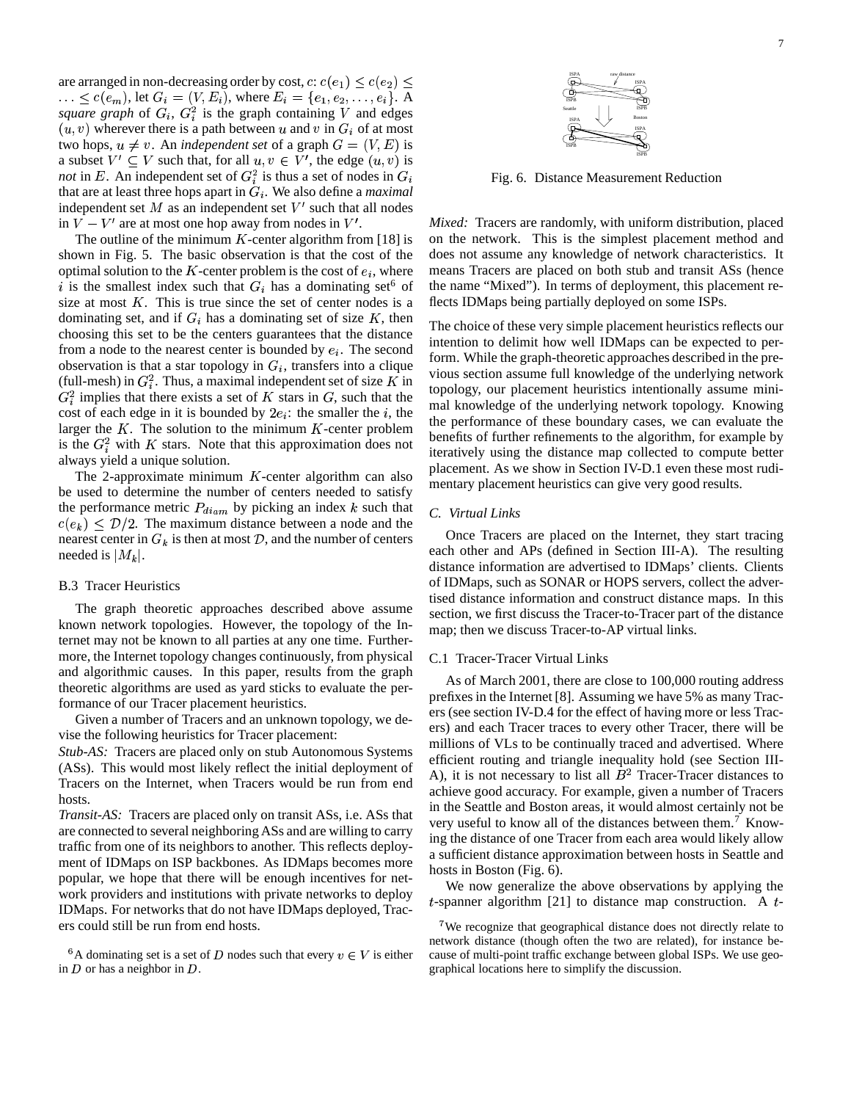are arranged in non-decreasing order by cost,  $c: c(e_1) \leq c(e_2) \leq$ ), let  $G_i = (V, E_i)$ , where  $E_i = \{e_1, e_2, \dots, e_i\}$ . A  $square$  *graph* of  $G_i$ ,  $G_i^2$  is the graph containing V and edges  $(u, v)$  wherever there is a path between u and v in  $G_i$  of at most two hops,  $u \neq v$ . An *independent set* of a graph  $G = (V, E)$  is a subset  $V' \subseteq V$  such that, for all  $u, v \in V'$ , the edge  $(u, v)$  is *not* in E. An independent set of  $G_i^2$  is thus a set of nodes in  $G_i$ that are at least three hops apart in  $G_i$ . We also define a *maximal* independent set  $M$  as an independent set  $V'$  such that all nodes in  $V - V'$  are at most one hop away from nodes in  $V'$ .

The outline of the minimum  $K$ -center algorithm from [18] is shown in Fig. 5. The basic observation is that the cost of the optimal solution to the  $K$ -center problem is the cost of  $e_i$ , where i is the smallest index such that  $G_i$  has a dominating set<sup>6</sup> of size at most  $K$ . This is true since the set of center nodes is a dominating set, and if  $G_i$  has a dominating set of size K, then choosing this set to be the centers guarantees that the distance from a node to the nearest center is bounded by  $e_i$ . The second observation is that a star topology in  $G_i$ , transfers into a clique (full-mesh) in  $G_i^2$ . Thus, a maximal independent set of size K in  $G_i^2$  implies that there exists a set of K stars in G, such that the cost of each edge in it is bounded by  $2e_i$ : the smaller the *i*, the larger the  $K$ . The solution to the minimum  $K$ -center problem is the  $G_i^2$  with K stars. Note that this approximation does not always yield a unique solution.

The 2-approximate minimum  $K$ -center algorithm can also be used to determine the number of centers needed to satisfy the performance metric  $P_{diam}$  by picking an index k such that  $c(e_k) \leq D/2$ . The maximum distance between a node and the nearest center in  $G_k$  is then at most  $D$ , and the number of centers needed is  $|M_k|$ .

#### B.3 Tracer Heuristics

The graph theoretic approaches described above assume known network topologies. However, the topology of the Internet may not be known to all parties at any one time. Furthermore, the Internet topology changes continuously, from physical and algorithmic causes. In this paper, results from the graph theoretic algorithms are used as yard sticks to evaluate the performance of our Tracer placement heuristics.

Given a number of Tracers and an unknown topology, we devise the following heuristics for Tracer placement:

*Stub-AS:* Tracers are placed only on stub Autonomous Systems (ASs). This would most likely reflect the initial deployment of Tracers on the Internet, when Tracers would be run from end hosts.

*Transit-AS:* Tracers are placed only on transit ASs, i.e. ASs that are connected to several neighboring ASs and are willing to carry traffic from one of its neighbors to another. This reflects deployment of IDMaps on ISP backbones. As IDMaps becomes more popular, we hope that there will be enough incentives for network providers and institutions with private networks to deploy IDMaps. For networks that do not have IDMaps deployed, Tracers could still be run from end hosts.



Fig. 6. Distance Measurement Reduction

*Mixed:* Tracers are randomly, with uniform distribution, placed on the network. This is the simplest placement method and does not assume any knowledge of network characteristics. It means Tracers are placed on both stub and transit ASs (hence the name "Mixed"). In terms of deployment, this placement reflects IDMaps being partially deployed on some ISPs.

The choice of these very simple placement heuristics reflects our intention to delimit how well IDMaps can be expected to perform. While the graph-theoretic approaches described in the previous section assume full knowledge of the underlying network topology, our placement heuristics intentionally assume minimal knowledge of the underlying network topology. Knowing the performance of these boundary cases, we can evaluate the benefits of further refinements to the algorithm, for example by iteratively using the distance map collected to compute better placement. As we show in Section IV-D.1 even these most rudimentary placement heuristics can give very good results.

# *C. Virtual Links*

Once Tracers are placed on the Internet, they start tracing each other and APs (defined in Section III-A). The resulting distance information are advertised to IDMaps' clients. Clients of IDMaps, such as SONAR or HOPS servers, collect the advertised distance information and construct distance maps. In this section, we first discuss the Tracer-to-Tracer part of the distance map; then we discuss Tracer-to-AP virtual links.

# C.1 Tracer-Tracer Virtual Links

As of March 2001, there are close to 100,000 routing address prefixes in the Internet [8]. Assuming we have 5% as many Tracers (see section IV-D.4 for the effect of having more or less Tracers) and each Tracer traces to every other Tracer, there will be millions of VLs to be continually traced and advertised. Where efficient routing and triangle inequality hold (see Section III-A), it is not necessary to list all  $B<sup>2</sup>$  Tracer-Tracer distances to achieve good accuracy. For example, given a number of Tracers in the Seattle and Boston areas, it would almost certainly not be very useful to know all of the distances between them.<sup>7</sup> Knowing the distance of one Tracer from each area would likely allow a sufficient distance approximation between hosts in Seattle and hosts in Boston (Fig. 6).

We now generalize the above observations by applying the  $t$ -spanner algorithm [21] to distance map construction. A  $t$ -

<sup>&</sup>lt;sup>6</sup>A dominating set is a set of D nodes such that every  $v \in V$  is either cause in  $D$  or has a neighbor in  $D$ .

<sup>&</sup>lt;sup>7</sup>We recognize that geographical distance does not directly relate to network distance (though often the two are related), for instance because of multi-point traffic exchange between global ISPs. We use geographical locations here to simplify the discussion.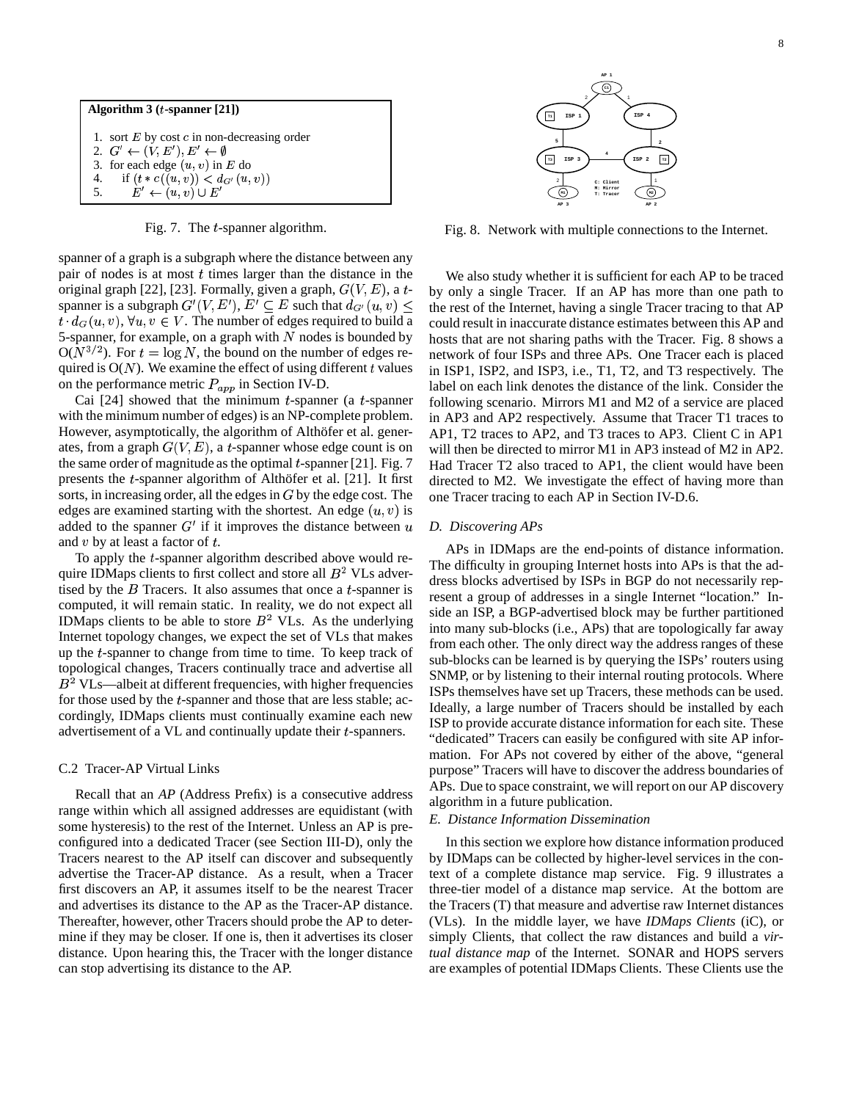

Fig. 7. The  $t$ -spanner algorithm.

spanner of a graph is a subgraph where the distance between any pair of nodes is at most  $t$  times larger than the distance in the original graph [22], [23]. Formally, given a graph,  $G(V, E)$ , a t- by only spanner is a subgraph  $G'(V, E'), E' \subseteq E$  such that  $d_{G'}(u, v) \leq$  the rest of  $t \cdot d_G(u, v)$ ,  $\forall u, v \in V$ . The number of edges required to build a 5-spanner, for example, on a graph with  $N$  nodes is bounded by  $O(N^{3/2})$ . For  $t = \log N$ , the bound on the number of edges required is  $O(N)$ . We examine the effect of using different  $t$  values on the performance metric  $P_{app}$  in Section IV-D.

Cai  $[24]$  showed that the minimum t-spanner (a t-spanner with the minimum number of edges) is an NP-complete problem. However, asymptotically, the algorithm of Althöfer et al. generates, from a graph  $G(V, E)$ , a t-spanner whose edge count is on the same order of magnitude as the optimal  $t$ -spanner [21]. Fig. 7 presents the  $t$ -spanner algorithm of Althöfer et al. [21]. It first sorts, in increasing order, all the edges in  $G$  by the edge cost. The edges are examined starting with the shortest. An edge  $(u, v)$  is added to the spanner  $G'$  if it improves the distance between  $u$ and  $v$  by at least a factor of  $t$ .

To apply the  $t$ -spanner algorithm described above would require IDMaps clients to first collect and store all  $B<sup>2</sup>$  VLs advertised by the  $B$  Tracers. It also assumes that once a  $t$ -spanner is computed, it will remain static. In reality, we do not expect all IDMaps clients to be able to store  $B^2$  VLs. As the underlying Internet topology changes, we expect the set of VLs that makes up the  $t$ -spanner to change from time to time. To keep track of topological changes, Tracers continually trace and advertise all  $B<sup>2</sup>$  VLs—albeit at different frequencies, with higher frequencies for those used by the *t*-spanner and those that are less stable; accordingly, IDMaps clients must continually examine each new advertisement of a  $VL$  and continually update their  $t$ -spanners.

### C.2 Tracer-AP Virtual Links

Recall that an *AP* (Address Prefix) is a consecutive address range within which all assigned addresses are equidistant (with some hysteresis) to the rest of the Internet. Unless an AP is preconfigured into a dedicated Tracer (see Section III-D), only the Tracers nearest to the AP itself can discover and subsequently advertise the Tracer-AP distance. As a result, when a Tracer first discovers an AP, it assumes itself to be the nearest Tracer and advertises its distance to the AP as the Tracer-AP distance. Thereafter, however, other Tracers should probe the AP to determine if they may be closer. If one is, then it advertises its closer distance. Upon hearing this, the Tracer with the longer distance can stop advertising its distance to the AP.



Fig. 8. Network with multiple connections to the Internet.

We also study whether it is sufficient for each AP to be traced by only a single Tracer. If an AP has more than one path to the rest of the Internet, having a single Tracer tracing to that AP could result in inaccurate distance estimates between this AP and hosts that are not sharing paths with the Tracer. Fig. 8 shows a network of four ISPs and three APs. One Tracer each is placed in ISP1, ISP2, and ISP3, i.e., T1, T2, and T3 respectively. The label on each link denotes the distance of the link. Consider the following scenario. Mirrors M1 and M2 of a service are placed in AP3 and AP2 respectively. Assume that Tracer T1 traces to AP1, T2 traces to AP2, and T3 traces to AP3. Client C in AP1 will then be directed to mirror M1 in AP3 instead of M2 in AP2. Had Tracer T2 also traced to AP1, the client would have been directed to M2. We investigate the effect of having more than one Tracer tracing to each AP in Section IV-D.6.

#### *D. Discovering APs*

APs in IDMaps are the end-points of distance information. The difficulty in grouping Internet hosts into APs is that the address blocks advertised by ISPs in BGP do not necessarily represent a group of addresses in a single Internet "location." Inside an ISP, a BGP-advertised block may be further partitioned into many sub-blocks (i.e., APs) that are topologically far away from each other. The only direct way the address ranges of these sub-blocks can be learned is by querying the ISPs' routers using SNMP, or by listening to their internal routing protocols. Where ISPs themselves have set up Tracers, these methods can be used. Ideally, a large number of Tracers should be installed by each ISP to provide accurate distance information for each site. These "dedicated" Tracers can easily be configured with site AP information. For APs not covered by either of the above, "general purpose" Tracers will have to discover the address boundaries of APs. Due to space constraint, we will report on our AP discovery algorithm in a future publication.

#### *E. Distance Information Dissemination*

In this section we explore how distance information produced by IDMaps can be collected by higher-level services in the context of a complete distance map service. Fig. 9 illustrates a three-tier model of a distance map service. At the bottom are the Tracers (T) that measure and advertise raw Internet distances (VLs). In the middle layer, we have *IDMaps Clients* (iC), or simply Clients, that collect the raw distances and build a *virtual distance map* of the Internet. SONAR and HOPS servers are examples of potential IDMaps Clients. These Clients use the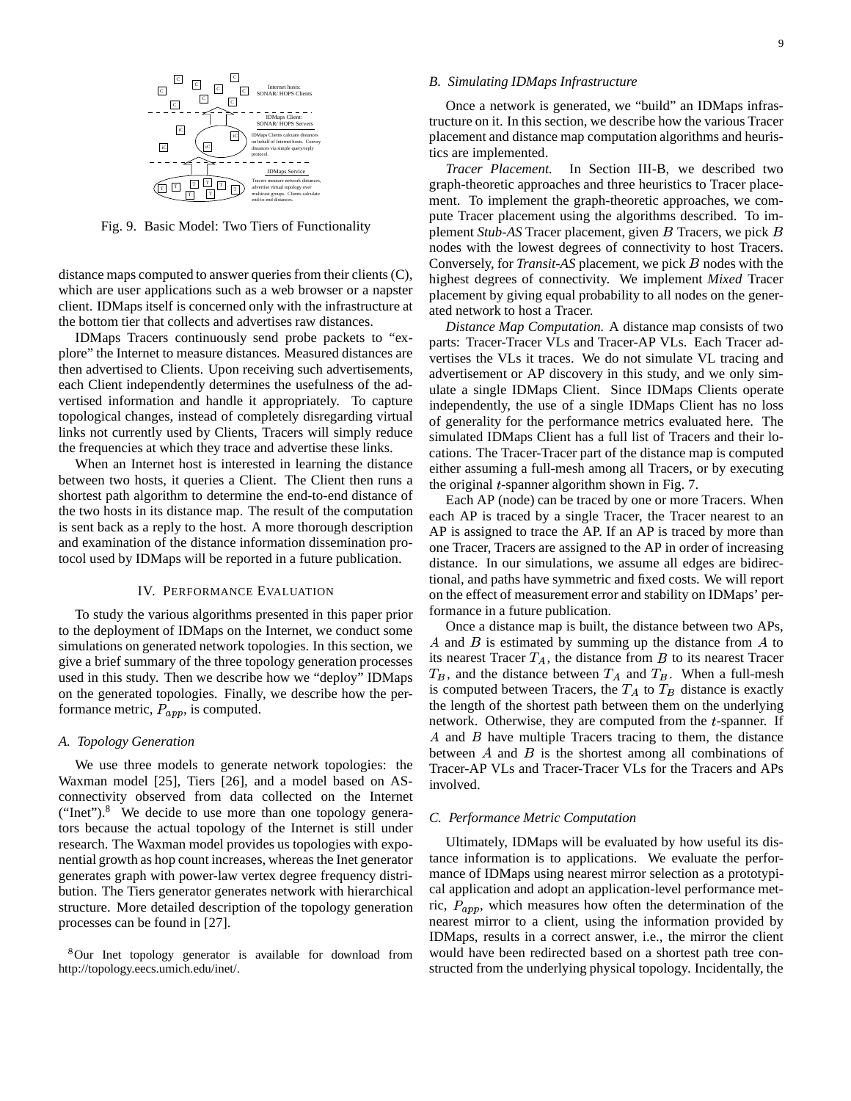

Fig. 9. Basic Model: Two Tiers of Functionality

distance maps computed to answer queries from their clients (C), which are user applications such as a web browser or a napster client. IDMaps itself is concerned only with the infrastructure at the bottom tier that collects and advertises raw distances.

IDMaps Tracers continuously send probe packets to "explore" the Internet to measure distances. Measured distances are then advertised to Clients. Upon receiving such advertisements, each Client independently determines the usefulness of the advertised information and handle it appropriately. To capture topological changes, instead of completely disregarding virtual links not currently used by Clients, Tracers will simply reduce the frequencies at which they trace and advertise these links.

When an Internet host is interested in learning the distance between two hosts, it queries a Client. The Client then runs a shortest path algorithm to determine the end-to-end distance of the two hosts in its distance map. The result of the computation is sent back as a reply to the host. A more thorough description and examination of the distance information dissemination protocol used by IDMaps will be reported in a future publication.

#### IV. PERFORMANCE EVALUATION

To study the various algorithms presented in this paper prior to the deployment of IDMaps on the Internet, we conduct some simulations on generated network topologies. In this section, we give a brief summary of the three topology generation processes used in this study. Then we describe how we "deploy" IDMaps on the generated topologies. Finally, we describe how the performance metric,  $P_{app}$ , is computed.

#### *A. Topology Generation*

We use three models to generate network topologies: the Waxman model [25], Tiers [26], and a model based on ASconnectivity observed from data collected on the Internet ("Inet"). $8$  We decide to use more than one topology generators because the actual topology of the Internet is still under research. The Waxman model provides us topologies with exponential growth as hop count increases, whereas the Inet generator generates graph with power-law vertex degree frequency distribution. The Tiers generator generates network with hierarchical structure. More detailed description of the topology generation processes can be found in [27].

<sup>8</sup>Our Inet topology generator is available for download from http://topology.eecs.umich.edu/inet/.

#### *B. Simulating IDMaps Infrastructure*

Once a network is generated, we "build" an IDMaps infrastructure on it. In this section, we describe how the various Tracer placement and distance map computation algorithms and heuristics are implemented.

*Tracer Placement.* In Section III-B, we described two graph-theoretic approaches and three heuristics to Tracer placement. To implement the graph-theoretic approaches, we compute Tracer placement using the algorithms described. To implement *Stub-AS* Tracer placement, given *B* Tracers, we pick *B* nodes with the lowest degrees of connectivity to host Tracers. Conversely, for *Transit-AS* placement, we pick *B* nodes with the highest degrees of connectivity. We implement *Mixed* Tracer placement by giving equal probability to all nodes on the generated network to host a Tracer.

*Distance Map Computation.* A distance map consists of two parts: Tracer-Tracer VLs and Tracer-AP VLs. Each Tracer advertises the VLs it traces. We do not simulate VL tracing and advertisement or AP discovery in this study, and we only simulate a single IDMaps Client. Since IDMaps Clients operate independently, the use of a single IDMaps Client has no loss of generality for the performance metrics evaluated here. The simulated IDMaps Client has a full list of Tracers and their locations. The Tracer-Tracer part of the distance map is computed either assuming a full-mesh among all Tracers, or by executing the original  $t$ -spanner algorithm shown in Fig. 7.

Each AP (node) can be traced by one or more Tracers. When each AP is traced by a single Tracer, the Tracer nearest to an AP is assigned to trace the AP. If an AP is traced by more than one Tracer, Tracers are assigned to the AP in order of increasing distance. In our simulations, we assume all edges are bidirectional, and paths have symmetric and fixed costs. We will report on the effect of measurement error and stability on IDMaps' performance in a future publication.

Once a distance map is built, the distance between two APs,  $A$  and  $B$  is estimated by summing up the distance from  $A$  to its nearest Tracer  $T_A$ , the distance from  $B$  to its nearest Tracer  $T_B$ , and the distance between  $T_A$  and  $T_B$ . When a full-mesh is computed between Tracers, the  $T_A$  to  $T_B$  distance is exactly the length of the shortest path between them on the underlying network. Otherwise, they are computed from the  $t$ -spanner. If A and  $\hat{B}$  have multiple Tracers tracing to them, the distance between  $A$  and  $B$  is the shortest among all combinations of Tracer-AP VLs and Tracer-Tracer VLs for the Tracers and APs involved.

# *C. Performance Metric Computation*

Ultimately, IDMaps will be evaluated by how useful its distance information is to applications. We evaluate the performance of IDMaps using nearest mirror selection as a prototypical application and adopt an application-level performance metric,  $P_{app}$ , which measures how often the determination of the nearest mirror to a client, using the information provided by IDMaps, results in a correct answer, i.e., the mirror the client would have been redirected based on a shortest path tree constructed from the underlying physical topology. Incidentally, the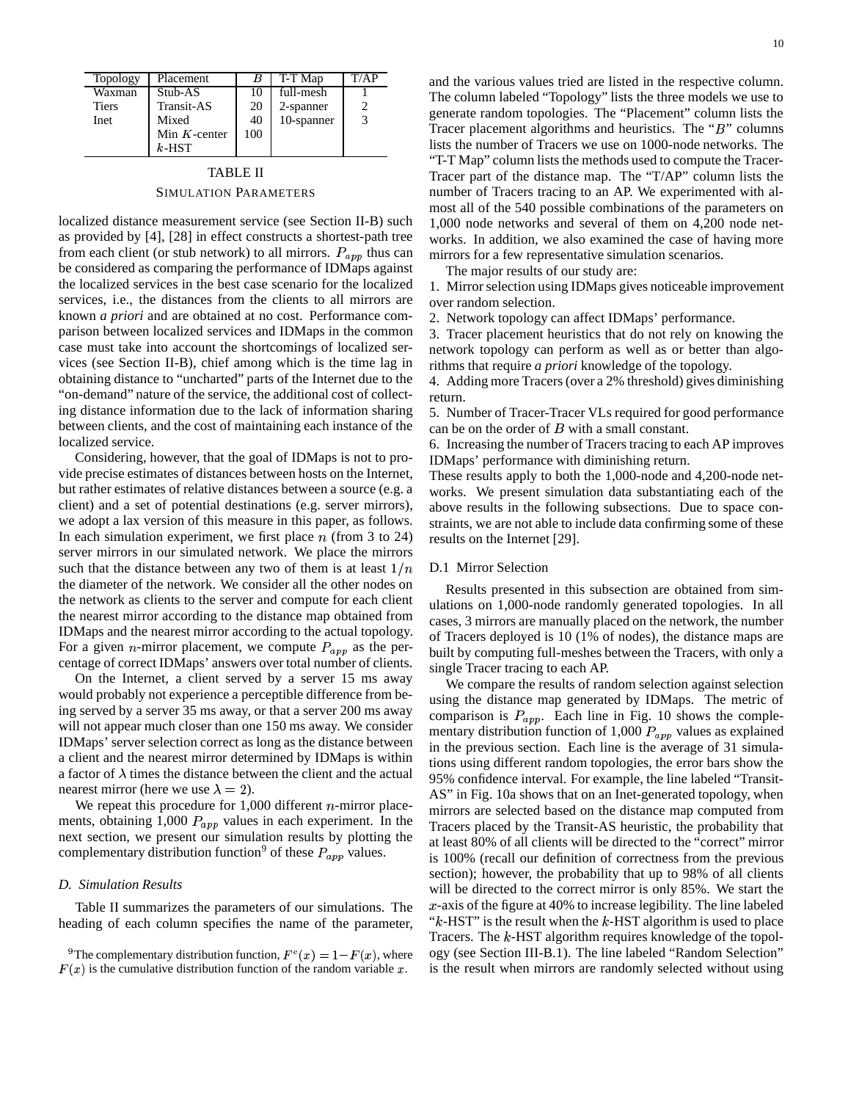| <b>Topology</b> | Placement       |     | T-T Map    | T/AP |
|-----------------|-----------------|-----|------------|------|
| Waxman          | Stub-AS         |     | full-mesh  |      |
| <b>Tiers</b>    | Transit-AS      | 20  | 2-spanner  |      |
| Inet            | Mixed           | 40  | 10-spanner |      |
|                 | Min $K$ -center | 100 |            |      |
|                 | $k$ -HST        |     |            |      |

# TABLE II SIMULATION PARAMETERS

localized distance measurement service (see Section II-B) such as provided by [4], [28] in effect constructs a shortest-path tree from each client (or stub network) to all mirrors.  $P_{app}$  thus can  $\pi$ be considered as comparing the performance of IDMaps against the localized services in the best case scenario for the localized services, i.e., the distances from the clients to all mirrors are known *a priori* and are obtained at no cost. Performance comparison between localized services and IDMaps in the common case must take into account the shortcomings of localized services (see Section II-B), chief among which is the time lag in obtaining distance to "uncharted" parts of the Internet due to the "on-demand" nature of the service, the additional cost of collecting distance information due to the lack of information sharing between clients, and the cost of maintaining each instance of the localized service.

Considering, however, that the goal of IDMaps is not to provide precise estimates of distances between hosts on the Internet, but rather estimates of relative distances between a source (e.g. a client) and a set of potential destinations (e.g. server mirrors), we adopt a lax version of this measure in this paper, as follows. In each simulation experiment, we first place  $n$  (from 3 to 24) server mirrors in our simulated network. We place the mirrors such that the distance between any two of them is at least  $1/n$ the diameter of the network. We consider all the other nodes on the network as clients to the server and compute for each client the nearest mirror according to the distance map obtained from IDMaps and the nearest mirror according to the actual topology. For a given *n*-mirror placement, we compute  $P_{app}$  as the percentage of correct IDMaps' answers over total number of clients.

On the Internet, a client served by a server 15 ms away would probably not experience a perceptible difference from being served by a server 35 ms away, or that a server 200 ms away will not appear much closer than one 150 ms away. We consider IDMaps' server selection correct as long as the distance between a client and the nearest mirror determined by IDMaps is within a factor of  $\lambda$  times the distance between the client and the actual nearest mirror (here we use  $\lambda = 2$ ).

We repeat this procedure for  $1,000$  different  $n$ -mirror placements, obtaining  $1,000$   $P_{app}$  values in each experiment. In the next section, we present our simulation results by plotting the complementary distribution function<sup>9</sup> of these  $P_{app}$  values.

# *D. Simulation Results*

Table II summarizes the parameters of our simulations. The heading of each column specifies the name of the parameter, and the various values tried are listed in the respective column. The column labeled "Topology" lists the three models we use to generate random topologies. The "Placement" column lists the Tracer placement algorithms and heuristics. The " $B$ " columns lists the number of Tracers we use on 1000-node networks. The "T-T Map" column lists the methods used to compute the Tracer-Tracer part of the distance map. The "T/AP" column lists the number of Tracers tracing to an AP. We experimented with almost all of the 540 possible combinations of the parameters on 1,000 node networks and several of them on 4,200 node networks. In addition, we also examined the case of having more mirrors for a few representative simulation scenarios.

The major results of our study are:

1. Mirrorselection using IDMaps gives noticeable improvement over random selection.

2. Network topology can affect IDMaps' performance.

3. Tracer placement heuristics that do not rely on knowing the network topology can perform as well as or better than algorithms that require *a priori* knowledge of the topology.

4. Adding more Tracers(over a 2% threshold) gives diminishing return.

5. Number of Tracer-Tracer VLs required for good performance can be on the order of  $B$  with a small constant.

6. Increasing the number of Tracers tracing to each AP improves IDMaps' performance with diminishing return.

These results apply to both the 1,000-node and 4,200-node networks. We present simulation data substantiating each of the above results in the following subsections. Due to space constraints, we are not able to include data confirming some of these results on the Internet [29].

# D.1 Mirror Selection

Results presented in this subsection are obtained from simulations on 1,000-node randomly generated topologies. In all cases, 3 mirrors are manually placed on the network, the number of Tracers deployed is 10 (1% of nodes), the distance maps are built by computing full-meshes between the Tracers, with only a single Tracer tracing to each AP.

We compare the results of random selection against selection using the distance map generated by IDMaps. The metric of comparison is  $P_{app}$ . Each line in Fig. 10 shows the complementary distribution function of  $1,000$   $P_{app}$  values as explained in the previous section. Each line is the average of 31 simulations using different random topologies, the error bars show the 95% confidence interval. For example, the line labeled "Transit-AS" in Fig. 10a shows that on an Inet-generated topology, when mirrors are selected based on the distance map computed from Tracers placed by the Transit-AS heuristic, the probability that at least 80% of all clients will be directed to the "correct" mirror is 100% (recall our definition of correctness from the previous section); however, the probability that up to 98% of all clients will be directed to the correct mirror is only 85%. We start the  $x$ -axis of the figure at 40% to increase legibility. The line labeled " $k$ -HST" is the result when the  $k$ -HST algorithm is used to place Tracers. The  $k$ -HST algorithm requires knowledge of the topology (see Section III-B.1). The line labeled "Random Selection" is the result when mirrors are randomly selected without using

<sup>&</sup>lt;sup>9</sup>The complementary distribution function,  $F^{c}(x) = 1 - F(x)$ , where  $F(x)$  is the cumulative distribution function of the random variable x.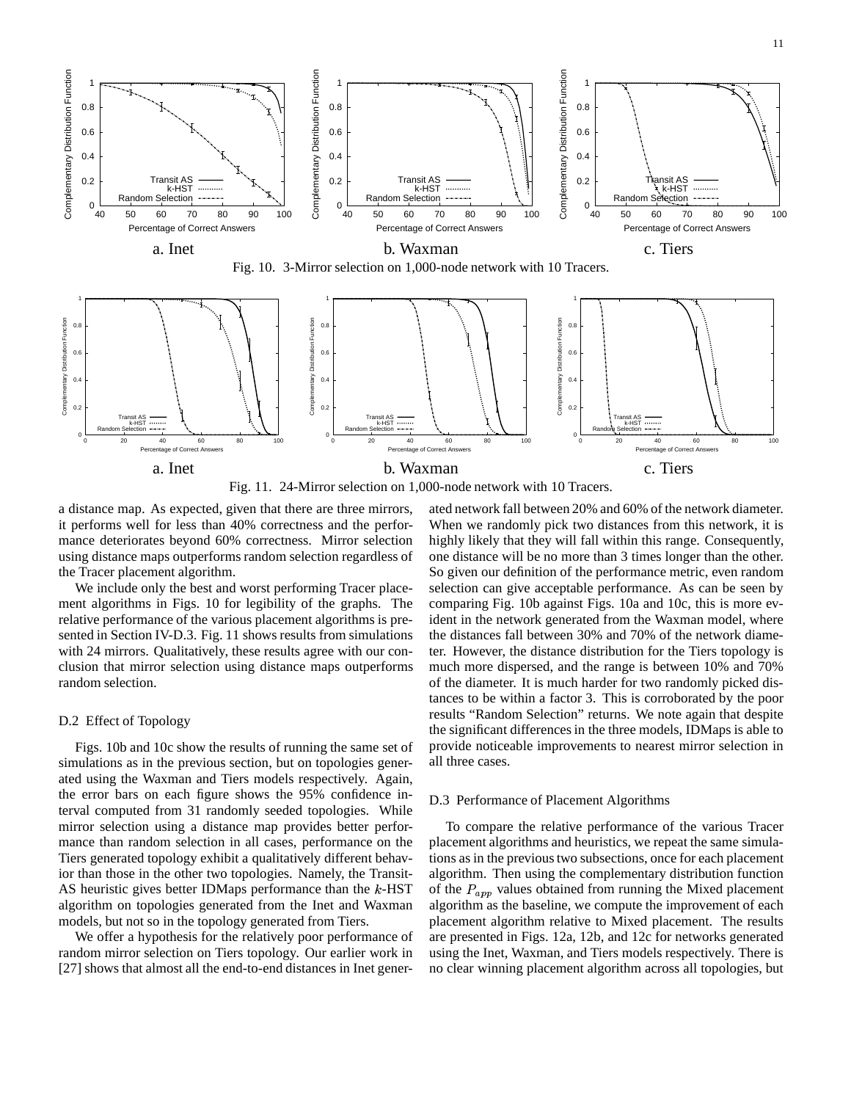





Fig. 11. 24-Mirror selection on 1,000-node network with 10 Tracers.

a distance map. As expected, given that there are three mirrors, it performs well for less than 40% correctness and the performance deteriorates beyond 60% correctness. Mirror selection using distance maps outperforms random selection regardless of the Tracer placement algorithm.

We include only the best and worst performing Tracer placement algorithms in Figs. 10 for legibility of the graphs. The relative performance of the various placement algorithms is presented in Section IV-D.3. Fig. 11 shows results from simulations with 24 mirrors. Qualitatively, these results agree with our conclusion that mirror selection using distance maps outperforms random selection.

# D.2 Effect of Topology

Figs. 10b and 10c show the results of running the same set of simulations as in the previous section, but on topologies generated using the Waxman and Tiers models respectively. Again, the error bars on each figure shows the 95% confidence interval computed from 31 randomly seeded topologies. While mirror selection using a distance map provides better performance than random selection in all cases, performance on the Tiers generated topology exhibit a qualitatively different behavior than those in the other two topologies. Namely, the Transit-AS heuristic gives better IDMaps performance than the  $k$ -HST algorithm on topologies generated from the Inet and Waxman models, but not so in the topology generated from Tiers.

We offer a hypothesis for the relatively poor performance of random mirror selection on Tiers topology. Our earlier work in [27] shows that almost all the end-to-end distances in Inet generated network fall between 20% and 60% of the network diameter. When we randomly pick two distances from this network, it is highly likely that they will fall within this range. Consequently, one distance will be no more than 3 times longer than the other. So given our definition of the performance metric, even random selection can give acceptable performance. As can be seen by comparing Fig. 10b against Figs. 10a and 10c, this is more evident in the network generated from the Waxman model, where the distances fall between 30% and 70% of the network diameter. However, the distance distribution for the Tiers topology is much more dispersed, and the range is between 10% and 70% of the diameter. It is much harder for two randomly picked distances to be within a factor 3. This is corroborated by the poor results "Random Selection" returns. We note again that despite the significant differences in the three models, IDMaps is able to provide noticeable improvements to nearest mirror selection in all three cases.

# D.3 Performance of Placement Algorithms

To compare the relative performance of the various Tracer placement algorithms and heuristics, we repeat the same simulations as in the previoustwo subsections, once for each placement algorithm. Then using the complementary distribution function of the  $P_{app}$  values obtained from running the Mixed placement algorithm as the baseline, we compute the improvement of each placement algorithm relative to Mixed placement. The results are presented in Figs. 12a, 12b, and 12c for networks generated using the Inet, Waxman, and Tiers models respectively. There is no clear winning placement algorithm across all topologies, but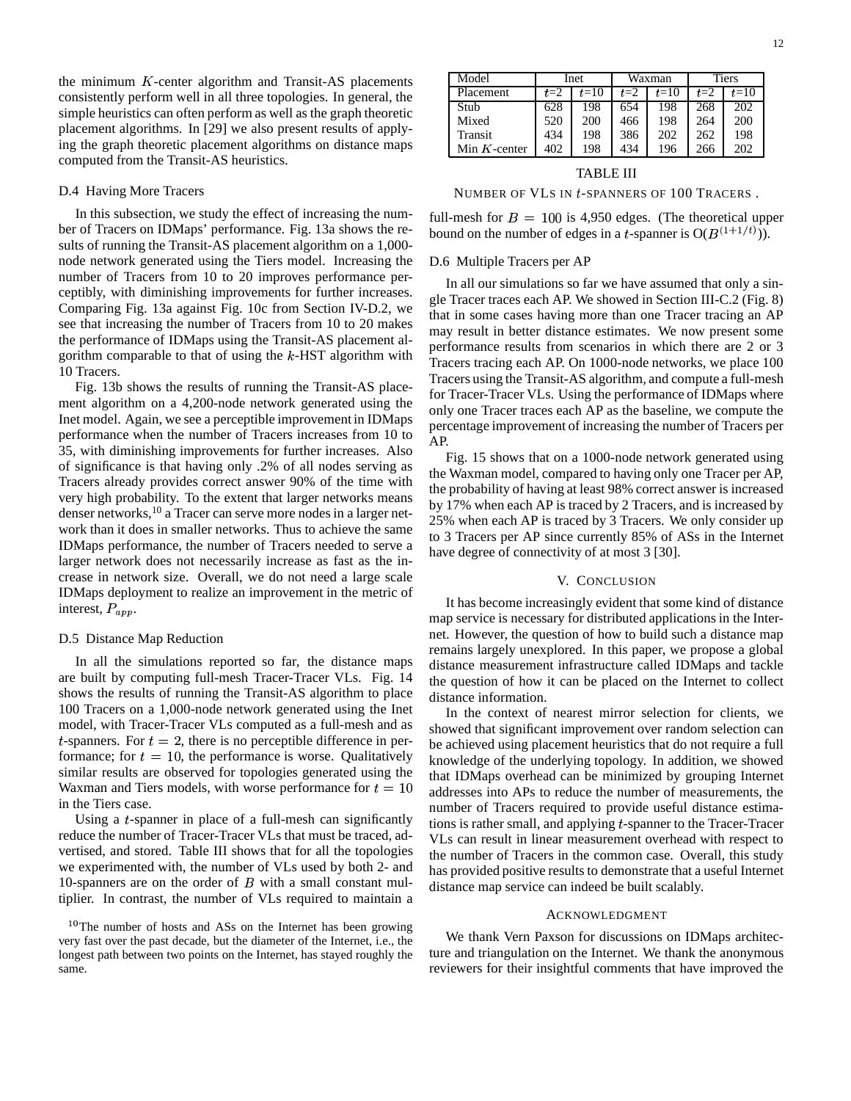the minimum  $K$ -center algorithm and Transit-AS placements consistently perform well in all three topologies. In general, the simple heuristics can often perform as well as the graph theoretic placement algorithms. In [29] we also present results of applying the graph theoretic placement algorithms on distance maps computed from the Transit-AS heuristics.

# D.4 Having More Tracers

In this subsection, we study the effect of increasing the number of Tracers on IDMaps' performance. Fig. 13a shows the results of running the Transit-AS placement algorithm on a 1,000 node network generated using the Tiers model. Increasing the number of Tracers from 10 to 20 improves performance perceptibly, with diminishing improvements for further increases. Comparing Fig. 13a against Fig. 10c from Section IV-D.2, we see that increasing the number of Tracers from 10 to 20 makes the performance of IDMaps using the Transit-AS placement algorithm comparable to that of using the  $k$ -HST algorithm with 10 Tracers.

Fig. 13b shows the results of running the Transit-AS placement algorithm on a 4,200-node network generated using the Inet model. Again, we see a perceptible improvement in IDMaps performance when the number of Tracers increases from 10 to 35, with diminishing improvements for further increases. Also of significance is that having only .2% of all nodes serving as Tracers already provides correct answer 90% of the time with very high probability. To the extent that larger networks means denser networks,<sup>10</sup> a Tracer can serve more nodes in a larger network than it does in smaller networks. Thus to achieve the same IDMaps performance, the number of Tracers needed to serve a larger network does not necessarily increase as fast as the increase in network size. Overall, we do not need a large scale IDMaps deployment to realize an improvement in the metric of interest,  $P_{app}$ .

#### D.5 Distance Map Reduction

In all the simulations reported so far, the distance maps are built by computing full-mesh Tracer-Tracer VLs. Fig. 14 shows the results of running the Transit-AS algorithm to place 100 Tracers on a 1,000-node network generated using the Inet model, with Tracer-Tracer VLs computed as a full-mesh and as *t*-spanners. For  $t = 2$ , there is no perceptible difference in performance; for  $t = 10$ , the performance is worse. Qualitatively similar results are observed for topologies generated using the Waxman and Tiers models, with worse performance for  $t = 10$  addresse in the Tiers case.

Using a  $t$ -spanner in place of a full-mesh can significantly reduce the number of Tracer-Tracer VLs that must be traced, advertised, and stored. Table III shows that for all the topologies we experimented with, the number of VLs used by both 2- and 10-spanners are on the order of  $B$  with a small constant multiplier. In contrast, the number of VLs required to maintain a

<sup>10</sup>The number of hosts and ASs on the Internet has been growing very fast over the past decade, but the diameter of the Internet, i.e., the longest path between two points on the Internet, has stayed roughly the same.

| Model           | Inet  |        | Waxman |        | <b>Tiers</b> |        |
|-----------------|-------|--------|--------|--------|--------------|--------|
| Placement       | $t=2$ | $t=10$ | $t=2$  | $t=10$ | $t=2$        | $t=10$ |
| Stub            | 628   | 198    | 654    | 198    | 268          | 202    |
| Mixed           | 520   | 200    | 466    | 198    | 264          | 200    |
| Transit         | 434   | 198    | 386    | 202    | 262          | 198    |
| Min $K$ -center | 402   | 198    | 434    | 196    | 266          | 202    |

#### TABLE III

NUMBER OF VLS IN *t*-SPANNERS OF 100 TRACERS.

full-mesh for  $B = 100$  is 4,950 edges. (The theoretical upper bound on the number of edges in a *t*-spanner is  $O(B^{(1+1/t)}))$ .  $^{\prime}$ )).

# D.6 Multiple Tracers per AP

In all our simulations so far we have assumed that only a single Tracer traces each AP. We showed in Section III-C.2 (Fig. 8) that in some cases having more than one Tracer tracing an AP may result in better distance estimates. We now present some performance results from scenarios in which there are 2 or 3 Tracers tracing each AP. On 1000-node networks, we place 100 Tracers using the Transit-AS algorithm, and compute a full-mesh for Tracer-Tracer VLs. Using the performance of IDMaps where only one Tracer traces each AP as the baseline, we compute the percentage improvement of increasing the number of Tracers per AP.

Fig. 15 shows that on a 1000-node network generated using the Waxman model, compared to having only one Tracer per AP, the probability of having at least 98% correct answer is increased by 17% when each AP is traced by 2 Tracers, and is increased by 25% when each AP is traced by 3 Tracers. We only consider up to 3 Tracers per AP since currently 85% of ASs in the Internet have degree of connectivity of at most 3 [30].

### V. CONCLUSION

It has become increasingly evident that some kind of distance map service is necessary for distributed applications in the Internet. However, the question of how to build such a distance map remains largely unexplored. In this paper, we propose a global distance measurement infrastructure called IDMaps and tackle the question of how it can be placed on the Internet to collect distance information.

 $\mu$  addresses into APs to reduce the number of measurements, the In the context of nearest mirror selection for clients, we showed that significant improvement over random selection can be achieved using placement heuristics that do not require a full knowledge of the underlying topology. In addition, we showed that IDMaps overhead can be minimized by grouping Internet number of Tracers required to provide useful distance estimations is rather small, and applying  $t$ -spanner to the Tracer-Tracer VLs can result in linear measurement overhead with respect to the number of Tracers in the common case. Overall, this study has provided positive results to demonstrate that a useful Internet distance map service can indeed be built scalably.

#### ACKNOWLEDGMENT

We thank Vern Paxson for discussions on IDMaps architecture and triangulation on the Internet. We thank the anonymous reviewers for their insightful comments that have improved the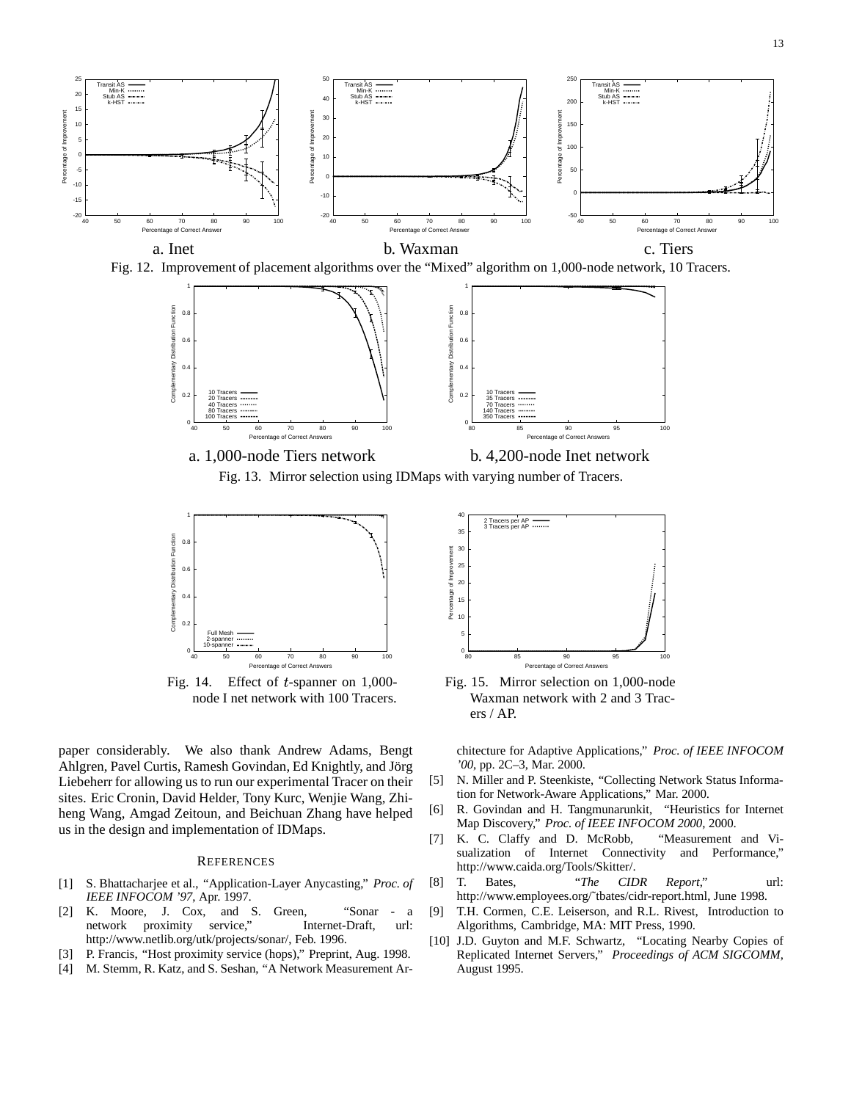

Fig. 12. Improvement of placement algorithms over the "Mixed" algorithm on 1,000-node network, 10 Tracers.



Fig. 13. Mirror selection using IDMaps with varying number of Tracers.



Fig. 14. Effect of  $t$ -spanner on 1,000node I net network with 100 Tracers.

paper considerably. We also thank Andrew Adams, Bengt Ahlgren, Pavel Curtis, Ramesh Govindan, Ed Knightly, and Jörg Liebeherr for allowing us to run our experimental Tracer on their sites. Eric Cronin, David Helder, Tony Kurc, Wenjie Wang, Zhiheng Wang, Amgad Zeitoun, and Beichuan Zhang have helped us in the design and implementation of IDMaps.

#### **REFERENCES**

- [1] S. Bhattacharjee et al., "Application-Layer Anycasting," *Proc. of IEEE INFOCOM '97*, Apr. 1997.
- [2] K. Moore, J. Cox, and S. Green, "Sonar a network proximity service," Internet-Draft, url: http://www.netlib.org/utk/projects/sonar/, Feb. 1996.
- [3] P. Francis, "Host proximity service (hops)," Preprint, Aug. 1998.
- [4] M. Stemm, R. Katz, and S. Seshan, "A Network Measurement Ar-



Fig. 15. Mirror selection on 1,000-node Waxman network with 2 and 3 Tracers / AP.

chitecture for Adaptive Applications," *Proc. of IEEE INFOCOM '00*, pp. 2C–3, Mar. 2000.

- [5] N. Miller and P. Steenkiste, "Collecting Network Status Information for Network-Aware Applications," Mar. 2000.
- [6] R. Govindan and H. Tangmunarunkit, "Heuristics for Internet Map Discovery," *Proc. of IEEE INFOCOM 2000*, 2000.
- [7] K. C. Claffy and D. McRobb, "Measurement and Visualization of Internet Connectivity and Performance," http://www.caida.org/Tools/Skitter/.
- [8] T. Bates, "*The CIDR Report*," url: http://www.employees.org/˜tbates/cidr-report.html, June 1998.
- [9] T.H. Cormen, C.E. Leiserson, and R.L. Rivest, Introduction to Algorithms, Cambridge, MA: MIT Press, 1990.
- [10] J.D. Guyton and M.F. Schwartz, "Locating Nearby Copies of Replicated Internet Servers," *Proceedings of ACM SIGCOMM*, August 1995.